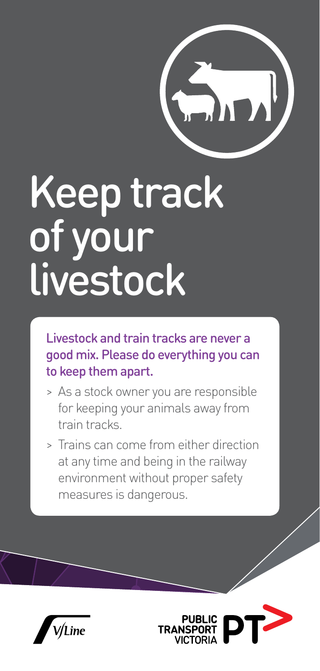

## Keep track of your livestock

Livestock and train tracks are never a good mix. Please do everything you can to keep them apart.

- > As a stock owner you are responsible for keeping your animals away from train tracks.
- > Trains can come from either direction at any time and being in the railway environment without proper safety measures is dangerous.